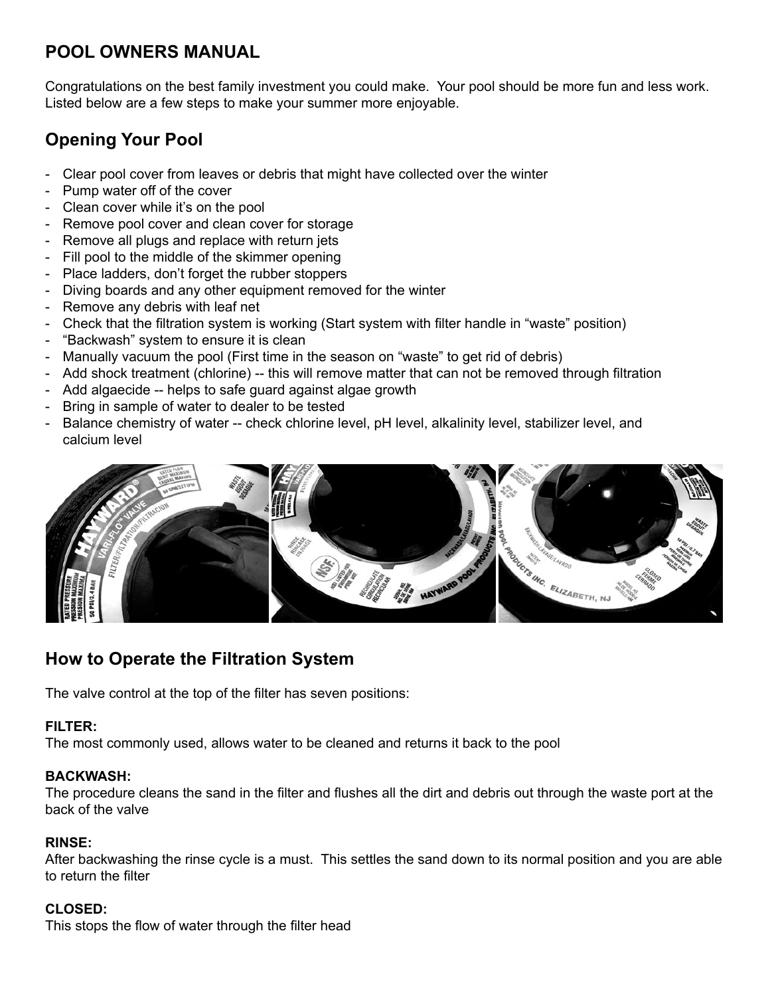## **POOL OWNERS MANUAL**

Congratulations on the best family investment you could make. Your pool should be more fun and less work. Listed below are a few steps to make your summer more enjoyable.

# **Opening Your Pool**

- Clear pool cover from leaves or debris that might have collected over the winter
- Pump water off of the cover
- Clean cover while it's on the pool
- Remove pool cover and clean cover for storage
- Remove all plugs and replace with return jets
- Fill pool to the middle of the skimmer opening
- Place ladders, don't forget the rubber stoppers
- Diving boards and any other equipment removed for the winter
- Remove any debris with leaf net
- Check that the filtration system is working (Start system with filter handle in "waste" position)
- "Backwash" system to ensure it is clean
- Manually vacuum the pool (First time in the season on "waste" to get rid of debris)
- Add shock treatment (chlorine) -- this will remove matter that can not be removed through filtration
- Add algaecide -- helps to safe guard against algae growth
- Bring in sample of water to dealer to be tested
- Balance chemistry of water -- check chlorine level, pH level, alkalinity level, stabilizer level, and calcium level



# **How to Operate the Filtration System**

The valve control at the top of the filter has seven positions:

### **FILTER:**

The most commonly used, allows water to be cleaned and returns it back to the pool

### **BACKWASH:**

The procedure cleans the sand in the filter and flushes all the dirt and debris out through the waste port at the back of the valve

### **RINSE:**

After backwashing the rinse cycle is a must. This settles the sand down to its normal position and you are able to return the filter

### **CLOSED:**

This stops the flow of water through the filter head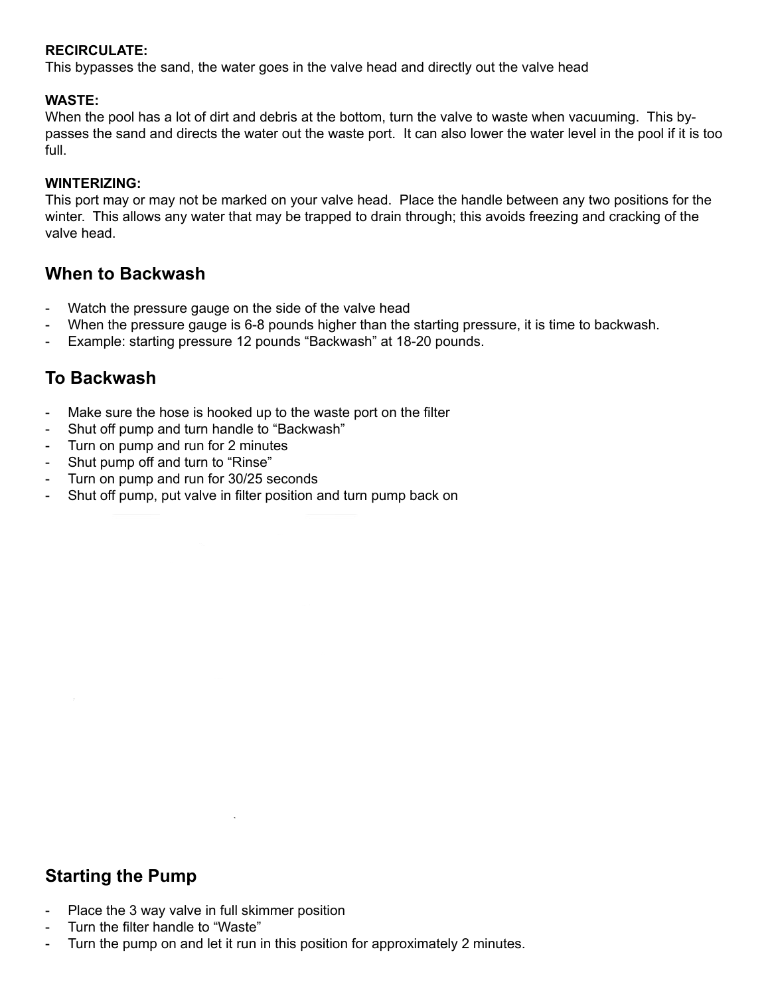### **RECIRCULATE:**

This bypasses the sand, the water goes in the valve head and directly out the valve head

#### **WASTE:**

When the pool has a lot of dirt and debris at the bottom, turn the valve to waste when vacuuming. This bypasses the sand and directs the water out the waste port. It can also lower the water level in the pool if it is too full.

#### **WINTERIZING:**

This port may or may not be marked on your valve head. Place the handle between any two positions for the winter. This allows any water that may be trapped to drain through; this avoids freezing and cracking of the valve head.

### **When to Backwash**

- Watch the pressure gauge on the side of the valve head
- When the pressure gauge is 6-8 pounds higher than the starting pressure, it is time to backwash.
- Example: starting pressure 12 pounds "Backwash" at 18-20 pounds.

## **To Backwash**

- Make sure the hose is hooked up to the waste port on the filter
- Shut off pump and turn handle to "Backwash"
- Turn on pump and run for 2 minutes
- Shut pump off and turn to "Rinse"
- Turn on pump and run for 30/25 seconds
- Shut off pump, put valve in filter position and turn pump back on

## **Starting the Pump**

them if they are not marked.

- Place the 3 way valve in full skimmer position
- Turn the filter handle to "Waste"
- Turn the pump on and let it run in this position for approximately 2 minutes.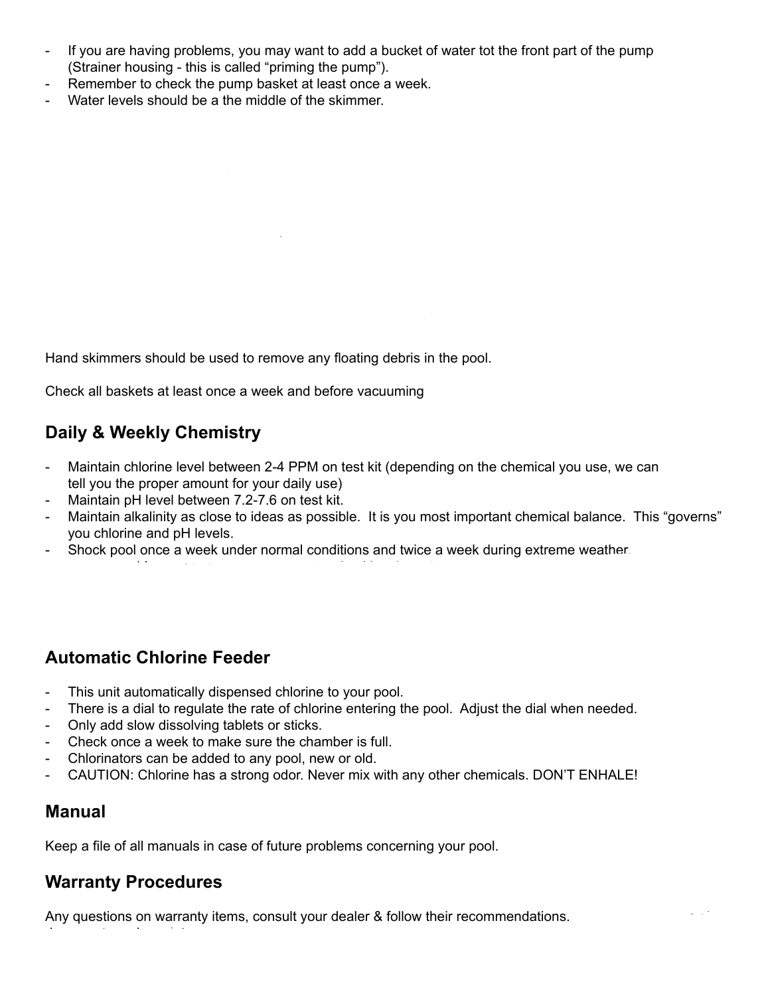- If you are having problems, you may want to add a bucket of water tot the front part of the pump (Strainer housing - this is called "priming the pump").
- Remember to check the pump basket at least once a week.
- Water levels should be a the middle of the skimmer.

Hand skimmers should be used to remove any floating debris in the pool.

Check all baskets at least once a week and before vacuuming

## **Daily & Weekly Chemistry**

**How to Vacuum**

- Maintain chlorine level between 2-4 PPM on test kit (depending on the chemical you use, we can tell you the proper amount for your daily use)
- Maintain pH level between 7.2-7.6 on test kit.
- Maintain alkalinity as close to ideas as possible. It is you most important chemical balance. This "governs" you chlorine and pH levels.

- Add algaecide once per week the day after shocking, based on the size of your pool. WE RECOMMEND

This is the same procedure for automatic vacuum cleaners. The only extra step is submersing the head of the

Shock pool once a week under normal conditions and twice a week during extreme weather.

## **Automatic Chlorine Feeder**

- This unit automatically dispensed chlorine to your pool.
- There is a dial to regulate the rate of chlorine entering the pool. Adjust the dial when needed.
- Only add slow dissolving tablets or sticks.
- Check once a week to make sure the chamber is full.
- Chlorinators can be added to any pool, new or old.
- CAUTION: Chlorine has a strong odor. Never mix with any other chemicals. DON'T ENHALE!

### **Manual**

Keep a file of all manuals in case of future problems concerning your pool.

## **Warranty Procedures**

documents and receipts.

Any questions on warranty items, consult your dealer & follow their recommendations.